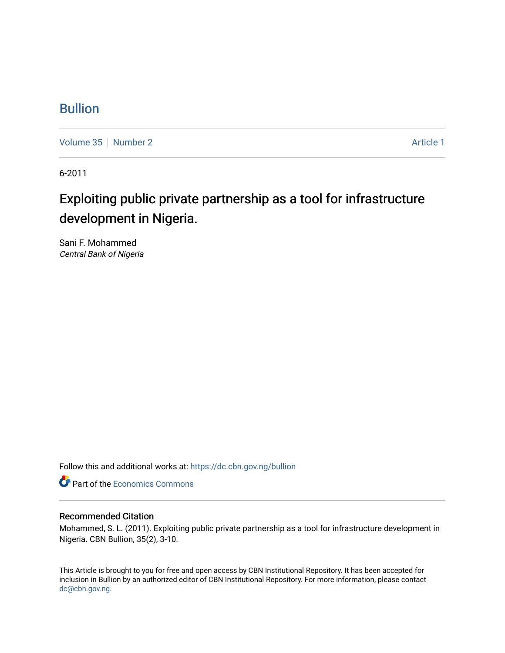# [Bullion](https://dc.cbn.gov.ng/bullion)

[Volume 35](https://dc.cbn.gov.ng/bullion/vol35) [Number 2](https://dc.cbn.gov.ng/bullion/vol35/iss2) Article 1

6-2011

# Exploiting public private partnership as a tool for infrastructure development in Nigeria.

Sani F. Mohammed Central Bank of Nigeria

Follow this and additional works at: [https://dc.cbn.gov.ng/bullion](https://dc.cbn.gov.ng/bullion?utm_source=dc.cbn.gov.ng%2Fbullion%2Fvol35%2Fiss2%2F1&utm_medium=PDF&utm_campaign=PDFCoverPages) 

**Part of the [Economics Commons](http://network.bepress.com/hgg/discipline/340?utm_source=dc.cbn.gov.ng%2Fbullion%2Fvol35%2Fiss2%2F1&utm_medium=PDF&utm_campaign=PDFCoverPages)** 

# Recommended Citation

Mohammed, S. L. (2011). Exploiting public private partnership as a tool for infrastructure development in Nigeria. CBN Bullion, 35(2), 3-10.

This Article is brought to you for free and open access by CBN Institutional Repository. It has been accepted for inclusion in Bullion by an authorized editor of CBN Institutional Repository. For more information, please contact [dc@cbn.gov.ng](mailto:dc@cbn.gov.ng).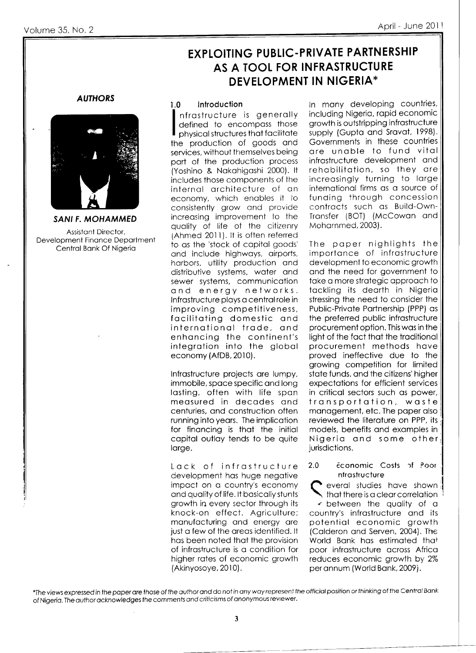# **EXPLOITING PUBLIC-PRIVATE PARTNERSHIP** AS A TOOL FOR INFRASTRUCTURE **DEVELOPMENT IN NIGERIA\***

# **AUTHORS**



**SANI F. MOHAMMED** 

Assistant Director, Development Finance Department Central Bank Of Nigeria

#### Introduction  $1.0$

nfrastructure is generally defined to encompass those physical structures that facilitate the production of goods and services, without themselves being part of the production process (Yoshino & Nakahigashi 2000). It includes those components of the internal architecture of an economy, which enables it to consistently grow and provide increasing improvement to the quality of life of the citizenry (Ahmed 2011). It is often referred to as the 'stock of capital goods' and include highways, airports, harbors, utility production and distributive systems, water and sewer systems, communication and energy networks. Infrastructure plays a central role in improving competitiveness, facilitating domestic and international trade, and enhancing the continent's integration into the global economy (AfDB, 2010).

Infrastructure projects are lumpy, immobile, space specific and long lasting, often with life span measured in decades and centuries, and construction often running into years. The implication for financing is that the initial capital outlay tends to be quite large.

Lack of infrastructure development has huge negative impact on a country's economy and quality of life. It basically stunts growth in every sector through its knock-on effect. Agriculture; manufacturing and energy are just a few of the areas identified. It has been noted that the provision of infrastructure is a condition for higher rates of economic growth (Akinyosoye, 2010).

In many developing countries, including Nigeria, rapid economic growth is outstripping infrastructure supply (Gupta and Sravat, 1998). Governments in these countries are unable to fund vital infrastructure development and rehabilitation, so they are increasingly turning to large international firms as a source of funding through concession contracts such as Build-Own-Transfer (BOT) (McCowan and Mohammed, 2003).

The paper nighlights the importance of infrastructure development to economic growth and the need for government to take a more strategic approach to tackling its dearth in Nigeria stressing the need to consider the Public-Private Partnership (PPP) as the preferred public infrastructure procurement option. This was in the light of the fact that the traditional procurement methods have proved ineffective due to the growing competition for limited state funds, and the citizens' higher expectations for efficient services in critical sectors such as power, transportation, waste management, etc. The paper also reviewed the literature on PPP, its models, benefits and examples in Nigeria and some other jurisdictions.

### Economic Costs of Poor  $2.0$ nfrastructure

everal studies have shown that there is a clear correlation + between the quality of a country's infrastructure and its potential economic growth (Calderon and Serven, 2004). The

World Bank has estimated that poor infrastructure across Africa reduces economic growth by 2% per annum (World Bank, 2009).

<sup>\*</sup>The views expressed in the paper are those of the author and do not in any way represent the official position or thinking of the Central Bank of Nigeria. The author acknowledges the comments and criticisms of anonymous reviewer.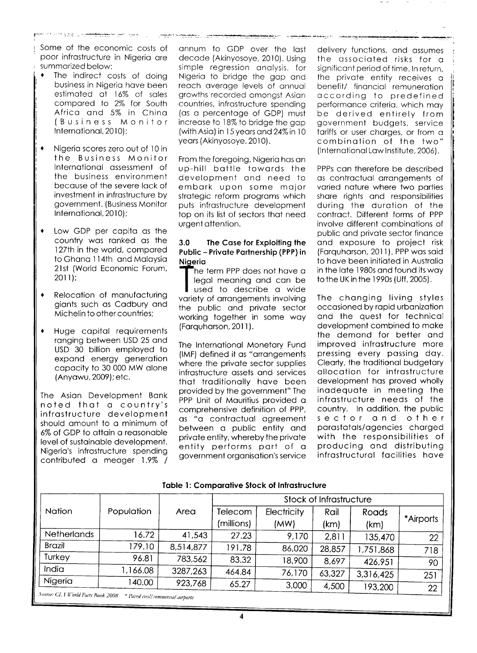Some of the economic costs of poor infrostructure in Nigerio ore summorized below:

- The indirect costs of doing business in Nigerio hove been estimoted of 16% of soles compored to 2% for South Africo ond 5% in Chino (Business Monitor lnternotionol, 2010);
- $\bullet$ Nigerio scores zero out of l0 in the Business Monitor lnternotionol ossessment of the business environment becouse of the severe lock of investment in infrostructure by government. (Business Monitor lnternotionol, 2010);
- Low GDP per capita as the country wos ronked os the 127th in the world, compared to Ghono I l4th ond Moloysio 2lst (World Economic Forum, 2011); a
- Relocotion of monufocturing gionts such os Codbury ond Michelin to other countries; t
- Huge copitol requirements ranging between USD 25 and USD 30 billion employed to expond energy generotion copocity to 30 000 MW olone (Anyowu, 2009); etc. I

The Asion Development Bonk noted thot o country's infrostructure development should amount to a minimum of 6% of GDP to ottoin o reosonoble level of sustoinoble development. Nigerio's infrostructure spending contributed a meager 1.9% / onnum to GDP over the lost decode (Akinyosoye. 2010). Using simple regression analysis, for Nigerio to bridge the gop ond reoch overoge levels of onnuoi growths recorded omongst Asion countries, infrostructure spending (os o percentoge of GDP) must increose to 18% to bridge the gop (with Asio) in l5 yeors ond24%in 10 years (Akinyosoye, 2010).

From the foregoing, Nigerio hos on <sup>u</sup>p-hill bottle towords the development ond need to embork upon some mojor strotegic reform progroms which puts infrostructure development top on its list of sectors thot need urgent ottention.

# 3.0 The Case for Exploiting the Public - Privole Portnership (PPP) in Nigeria

 $\overline{\phantom{a}}$ he term PPP does not have a legal meaning and can be used to describe a wide variety of arrangements involving the public ond privote sector working together in some woy (Farquharson, 2011).

The lnternotionol Monetory Fund (lMF) defined it os "orrongements where the private sector supplies infrastructure assets and services thot troditionolly hove been provided by the government" The PPP Unit of Mauritius provided a comprehensive definition of PPP. os "o controctuol ogreement between o public entity ond private entity, whereby the private entity performs port of <sup>o</sup> government orgonisotion's service delivery functions, ond ossumes the ossocioted risks for <sup>o</sup> significant period of time. In return, the privote entity receives <sup>o</sup> benefit/ financial remuneration occording to predefined performonce criterio, which moy be derived entirely from government budgets, service toriffs or user chorges, or from o combinotion of the two" (International Law Institute, 2006).

PPPs con therefore be described os controctuol orrongements of voried noture where two porties shore rights ond responsibilities during the durotion of the controct. Different forms of PPP involve different combinotions of public ond privote sector finonce ond exposure to project risk (Farquharson, 2011). PPP was said to hove been initioted in Austrolio in the lote l9B0s ond found its woy to the UK in the 1 990s (Uff, 2005).

The chonging living styles occosioned by ropid urbonizotion ond the quest for technicol development combined to moke the demond for better ond improved infrostructure more pressing every possing doy. Cleorly, the troditionol budgetory allocation for infrastructure development has proved wholly inodequote in meeting the infrostructure needs of the country. ln oddition, the public sector ond other porostotols/ogencies chorged with the responsibilities of producing ond distributing infrastructural facilities have

|  |  |  | <b>Table 1: Comparative Stock of Infrastructure</b> |
|--|--|--|-----------------------------------------------------|
|--|--|--|-----------------------------------------------------|

|                                                                          |            |           | Stock of Infrastructure |             |        |           |           |
|--------------------------------------------------------------------------|------------|-----------|-------------------------|-------------|--------|-----------|-----------|
| <b>Nation</b>                                                            | Population | Area      | Telecom                 | Electricity | Rail   | Roads     |           |
|                                                                          |            |           | (millions)              | (MW)        | (km)   | (km)      | *Airports |
| <b>Netherlands</b>                                                       | 16.72      | 41,543    | 27.23                   | 9,170       | 2,811  | 135,470   | 22        |
| <b>Brazil</b>                                                            | 179.10     | 8,514,877 | 191.78                  | 86,020      | 28,857 | 1,751,868 | 718       |
| Turkey                                                                   | 96.81      | 783,562   | 83.32                   | 18,900      | 8,697  | 426,951   | 90        |
| India                                                                    | 1,166.08   | 3287,263  | 464.84                  | 76,170      | 63,327 | 3,316,425 | 251       |
| Nigeria                                                                  | 140.00     | 923,768   | 65.27                   | 3,000       | 4,500  | 193,200   | 22        |
| Source: CI. 1 World Facts Book 2008<br>* Paved civil commercial surports |            |           |                         |             |        |           |           |

<sup>2</sup>aved civil/ commercial airports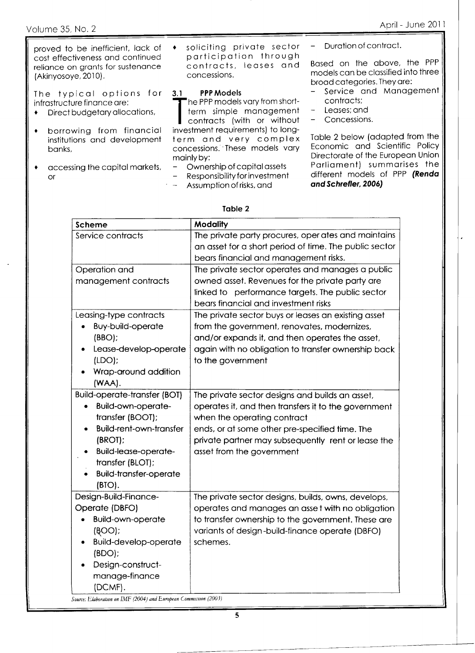proved to be inefficient, lack of cost effectiveness and continued reliance on grants for sustenance (Akinyosoye, 2010).

The typical options for infrastructure finance are:

- Direct budgetary allocations,
- borrowing from financial institutions and development banks,
- accessing the capital markets,  $\bullet$ or

soliciting private sector participation through contracts, leases and concessions.

#### **PPP Models**  $3.1$

he PPP models vary from shortterm simple management contracts (with or without investment requirements) to longterm and very complex concessions. These models vary mainly by:

- Ownership of capital assets
- Responsibility for investment  $\overline{a}$
- Assumption of risks, and

Duration of contract.

Based on the above, the PPP models can be classified into three broad categories. They are:

- Service and Management contracts:
- Leases; and  $\overline{\phantom{m}}$
- Concessions.  $\overline{\phantom{0}}$

Table 2 below (adapted from the Economic and Scientific Policy Directorate of the European Union Parliament) summarises the different models of PPP (Renda and Schrefler, 2006)

## Table 2

| Scheme                              | Modality                                               |  |  |  |
|-------------------------------------|--------------------------------------------------------|--|--|--|
| Service contracts                   | The private party procures, oper ates and maintains    |  |  |  |
|                                     | an asset for a short period of time. The public sector |  |  |  |
|                                     | bears financial and management risks.                  |  |  |  |
| Operation and                       | The private sector operates and manages a public       |  |  |  |
| management contracts                | owned asset. Revenues for the private party are        |  |  |  |
|                                     | linked to performance targets. The public sector       |  |  |  |
|                                     | bears financial and investment risks                   |  |  |  |
| Leasing-type contracts              | The private sector buys or leases an existing asset    |  |  |  |
| Buy-build-operate                   | from the government, renovates, modernizes,            |  |  |  |
| $(BBO)$ ;                           | and/or expands it, and then operates the asset,        |  |  |  |
| Lease-develop-operate<br>۰          | again with no obligation to transfer ownership back    |  |  |  |
| (LDO)                               | to the government                                      |  |  |  |
| Wrap-around addition                |                                                        |  |  |  |
| (WAA).                              |                                                        |  |  |  |
| <b>Build-operate-transfer (BOT)</b> | The private sector designs and builds an asset,        |  |  |  |
| Build-own-operate-                  | operates it, and then transfers it to the government   |  |  |  |
| transfer (BOOT);                    | when the operating contract                            |  |  |  |
| <b>Build-rent-own-transfer</b>      | ends, or at some other pre-specified time. The         |  |  |  |
| (BROT);                             | private partner may subsequently rent or lease the     |  |  |  |
| <b>Build-lease-operate-</b>         | asset from the government                              |  |  |  |
| transfer (BLOT);                    |                                                        |  |  |  |
| <b>Build-transfer-operate</b>       |                                                        |  |  |  |
| $(BTO)$ .                           |                                                        |  |  |  |
| Design-Build-Finance-               | The private sector designs, builds, owns, develops,    |  |  |  |
| Operate (DBFO)                      | operates and manages an asset with no obligation       |  |  |  |
| <b>Build-own-operate</b>            | to transfer ownership to the government. These are     |  |  |  |
| $($ BOO $)$ ;                       | variants of design-build-finance operate (DBFO)        |  |  |  |
| <b>Build-develop-operate</b>        | schemes.                                               |  |  |  |
| (BDO);                              |                                                        |  |  |  |
| Design-construct-                   |                                                        |  |  |  |
| manage-finance                      |                                                        |  |  |  |
| (DCMF).                             |                                                        |  |  |  |

Source: Elaboration on IMF (2004) and European Commission (2003)

 $\overline{\mathbf{5}}$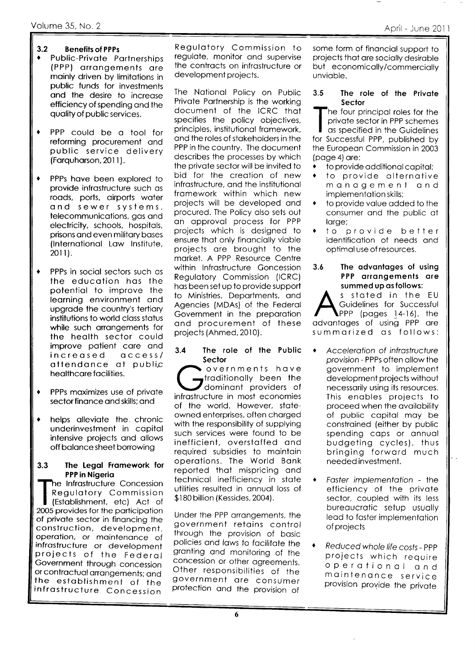#### $3.2$ **Benefits of PPPs**

- Public-Private Partnerships (PPP) arrangements are mainly driven by limitations in public funds for investments and the desire to increase efficiency of spending and the quality of public services.
- PPP could be a tool for reforming procurement and public service delivery (Farquharson, 2011).
- $\bullet$ PPPs have been explored to provide infrastructure such as roads, ports, airports water and sewer systems, telecommunications, gas and electricity, schools, hospitals, prisons and even military bases (International Law Institute, 2011).
- PPPs in social sectors such as the education has the potential to improve the learning environment and upgrade the country's tertiary institutions to world class status while such arrangements for the health sector could improve patient care and increased  $Ccess/$ attendance at public healthcare facilities.
- PPPs maximizes use of private sector finance and skills: and
- helps alleviate the chronic underinvestment in capital intensive projects and allows off balance sheet borrowing

### The Legal Framework for  $3.3$ PPP in Nigeria

he Infrastructure Concession Regulatory Commission (Establishment, etc) Act of 2005 provides for the participation of private sector in financing the construction, development, operation, or maintenance of infrastructure or development projects of the Federal Government through concession or contractual arrangements; and the establishment of the infrastructure Concession

Regulatory Commission to regulate, monitor and supervise the contracts on infrastructure or development projects.

The National Policy on Public Private Partnership is the working document of the ICRC that specifies the policy objectives, principles, institutional framework, and the roles of stakeholders in the PPP in the country. The document describes the processes by which the private sector will be invited to bid for the creation of new infrastructure, and the institutional framework within which new projects will be developed and procured. The Policy also sets out an approval process for PPP projects which is designed to ensure that only financially viable projects are brought to the market. A PPP Resource Centre within Infrastructure Goncession **Reaulatory Commission (ICRC)** has been set up to provide support to Ministries, Departments, and Agencies (MDAs) of the Federal Government in the preparation and procurement of these projects (Ahmed, 2010).

### The role of the Public  $3.4$ Sector

overnments have traditionally been the dominant providers of infrastructure in most economies of the world. However, stateowned enterprises, often charged with the responsibility of supplying such services were found to be inefficient, overstaffed and required subsidies to maintain operations. The World Bank reported that mispricing and technical inefficiency in state utilities resulted in annual loss of \$180 billion (Kessides, 2004).

Under the PPP arrangements, the government retains control through the provision of basic policies and laws to facilitate the granting and monitoring of the concession or other agreements. Other responsibilities of the government are consumer protection and the provision of

some form of financial support to projects that are socially desirable but economically/commercially unviable.

### $3.5$ The role of the Private Sector

he four principal roles for the private sector in PPP schemes as specified in the Guidelines for Successful PPP, published by the European Commission in 2003 (page 4) are:

- to provide additional capital;
- to provide alternative  $\bullet$ management and implementation skills:
- to provide value added to the consumer and the public at large;
- provide better  $1^{\circ}$ identification of needs and optimal use of resources.

 $3.6$ The advantages of using PPP arrangements are summed up as follows:

s stated in the EU Guidelines for Successful PPP (pages 14-16), the advantages of using PPP are summarized as follows:

Acceleration of infrastructure provision - PPPs often allow the government to implement development projects without necessarily using its resources. This enables projects to proceed when the availability of public capital may be constrained (either by public spending caps or annual budgeting cycles), thus bringing forward much needed investment.

Faster implementation - the  $\bullet$ efficiency of the private sector, coupled with its less bureaucratic setup usually lead to faster implementation of projects

 $\bullet$ Reduced whole life costs - PPP projects which require operational and maintenance service provision provide the private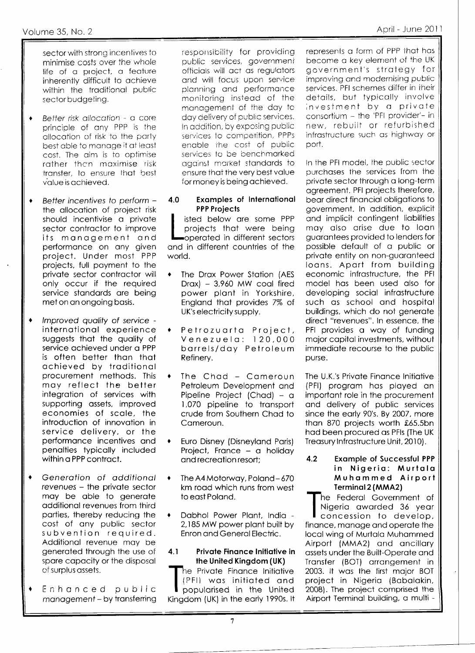sector with strong incentives to minimise costs over the whole life of a project, a feature inherently difficult to achieve within the traditional public sector budgeting.

- Better risk allocation a core  $\bullet$ principle of any PPP is the allocation of risk to the party best able to manage it at least cost. The aim is to optimise rather than maximise risk transter, to ensure that best value is achieved.
- Better incentives to perform - $\bullet$ the allocation of project risk should incentivise a private sector contractor to improve its management and performance on any given project. Under most PPP projects, full payment to the private sector contractor will only occur if the required service standards are being met on an ongoing basis.
- Improved quality of service international experience suggests that the quality of service achieved under a PPP is often better than that achieved by traditional procurement methods. This may reflect the better integration of services with supporting assets, improved economies of scale, the introduction of innovation in service delivery, or the performance incentives and penalties typically included within a PPP contract.
- Generation of additional revenues - the private sector may be able to generate additional revenues from third parties, thereby reducing the cost of any public sector subvention required. Additional revenue may be generated through the use of spare capacity or the disposal of surplus assets.
- Enhanced public management - by transferring

responsibility for providing public services, government officials will act as reaulators and will focus upon service planning and performance monitoring instead of the management of the day to day delivery of public services. In addition, by exposing public services to competition, PPPs enable the cost of public services to be benchmarked against market standards to ensure that the very best value for money is being achieved.

### **Examples of International** 4.0 **PPP Projects**

isted below are some PPP projects that were being operated in different sectors and in different countries of the world.

- The Drax Power Station (AES  $\bullet$  $Draw$  - 3,960 MW coal fired power plant in Yorkshire, England that provides 7% of UK's electricity supply.
- Petrozuarta Project, Venezuela: 120,000 barrels/day Petroleum Refinery.
- The Chad Cameroun Petroleum Development and Pipeline Project (Chad) - a 1,070 pipeline to transport crude from Southern Chad to Cameroun.
- Euro Disney (Disneyland Paris)  $\bullet$ Project, France - a holiday and recreation resort;
- The A4 Motorway, Poland-670 km road which runs from west to east Poland.
- Dabhol Power Plant, India - $\blacklozenge$ 2,185 MW power plant built by Enron and General Electric.

### Private Finance Initiative in  $4.1$ the United Kingdom (UK)

he Private Finance Initiative (PFI) was initiated and popularised in the United Kingdom (UK) in the early 1990s. It represents a form of PPP that has become a key element of the UK aovernment's strategy for improving and modernising public services. PFI schemes differ in iheir details, but typically involve investment by a private consortium - the 'PFI provider'- in new, rebuilt or refurbished infrastructure such as highway or port.

In the PFI model, the public sector purchases the services from the private sector through a long-term agreement. PFI projects therefore, bear direct financial obligations to government. In addition, explicit and implicit contingent liabilities may also arise due to loan guarantees provided to lenders for possible default of a public or private entity on non-guaranteed loans. Apart from building economic infrastructure, the PFI model has been used also for developing social infrastructure such as school and hospital buildinas, which do not generate direct "revenues". In essence, the PFI provides a way of funding major capital investments, without immediate recourse to the public purse.

The U.K.'s Private Finance Initiative (PFI) program has played an important role in the procurement and delivery of public services since the early 90's. By 2007, more than 870 projects worth £65.5bn had been procured as PFIs (The UK Treasury Infrastructure Unit, 2010).

## $4.2$ **Example of Successful PPP** in Nigeria: Murtala Muhammed Airport Terminal 2 (MMA2)

he Federal Government of Nigeria awarded 36 year concession to develop, finance, manage and operate the local wing of Murtala Muhammed Airport (MMA2) and ancillary assets under the Built-Operate and Transfer (BOT) arrangement in 2003. It was the first major BOT project in Nigeria (Babalakin, 2008). The project comprised the Airport Terminal building, a multi -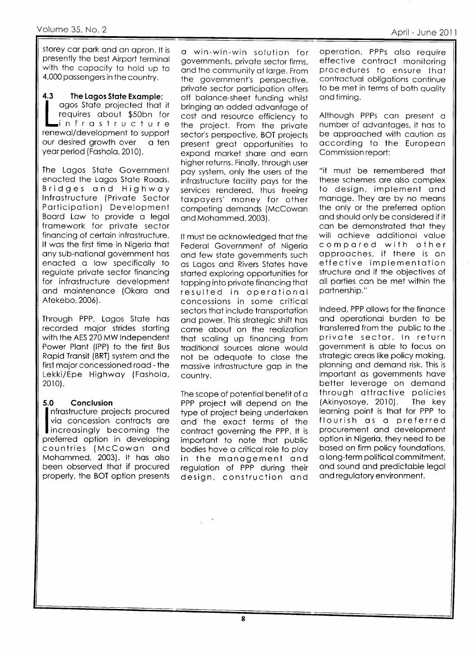storey cor pork ond on opron. lt is presently the best Airport terminol with the copocity to hold up to 4.000 possengers in the country.

4.3 The Lagos State Example: agos State projected that it requires about \$50bn for l-i nfrostructure renewol/development to support our desired growth over a ten year period (Fashola, 2010).

The Logos Stote Government enacted the Lagos State Roads,<br>Bridges and Highway lnfrostructure (Privote Sector Porticipotion) Development Boord Low to provide o legol fromework for privote sector finoncing of certoin infrostructure. It wos the first time in Nigerio thot ony sub-notionol government hos enacted a law specifically to regulote privote sector finoncing for infrostructure development ond mointenonce (Okoro ond Atekebo,2006).

Through PPP, Logos Stote hos recorded mojor strides storting with the AES 270 MW lndependent Power Plont (lPP) to the first Bus Ropid Tronsit (BRT) system ond the first mojor concessioned rood - the Lekki/Epe Highwoy (Fosholo, 2010).

# 5.0 Conclusion

nfrastructure projects procured via concession contracts are Increasingly becoming the preferred option in developing countries (McCowon ond Mohammed, 2003). It has also been observed thot if procured properly, the BOT option presents

o win-win-win solution for governments, privote sector firms, and the community at large. From the government's perspective, privote sector porticipotion offers off bolonce-sheet funding whilst bringing on odded odvontoge of cost ond resource efficiency to the project. From the private sector's perspective, BOT projects present greot opportunities to expond morket shore ond eorn higher returns. Finolly, through user poy system, only the users of the infrostructure focility poys for the services rendered, thus freeing toxpoyers' money for other competing demonds (McCowon and Mohammed, 2003).

It must be ocknowledged thot the Federol Government of Nigerio ond few stote governments such os Logos ond Rivers Stotes hove storted exploring opportunities for tapping into private financing that resulted in operotionol concessions in some criticol sectors that include transportation ond power. This strotegic shift hos come obout on the reolizotion thot scoling up finoncing from traditional sources alone would not be odequote to close the mossive infrostructure gop in the country.

The scope of potential benefit of a PPP project will depend on the type of project being undertoken ond the exoct terms of the controct governing the PPP. lt is importont to note thot public bodies hove o criticol role to ploy in the monogement ond regulotion of PPP during their design, construction ond

operotion. PPPs olso require effective contract monitoring procedures to ensure thot controctuol obligotions continue to be met in terms of both quality and timing.

Although PPPs con present <sup>o</sup> number of odvontoges, it hos to be approached with caution as occording to the Europeon Commission report:

"it must be remembered thot these schemes ore olso complex to design, implement ond manage. They are by no means the only or the preferred option ond should only be considered if it con be demonstroted thot they will ochieve odditionol volue compored with other opprooches. if there is on effective implementotion structure ond if the objectives of oll porties con be met within the portnership."

lndeed, PPP ollows for the finonce ond operotionol burden to be transferred from the public to the privote sector. ln return government is oble to focus on strotegic oreos like policy moking, plonning ond demond risk. This is importont os governments hove better leveroge on demond through ottroctive policies (Akinyosoye, 2010). The key learning point is that for PPP to<br>flourish as a preferred procurement ond development option in Nigerio, they need to be bosed on firm policy foundotions, o long-term politicol commitment, ond sound ond predictoble legol ond regulotory environment.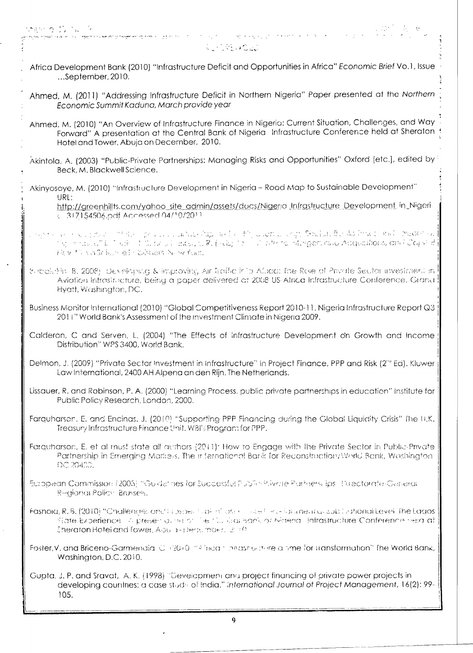.<br>The film was able to the wall of the second the second second second second second second second second second

# **CONSTRUCTION**

الجادية الحادثة فتتلقح الجرار ويعطيها

Africa Development Bank (2010) "Infrastructure Deficit and Opportunities in Africa" Economic Brief Vo.1, Issue ...September, 2010.

Ahmed, M. (2011) "Addressing Infrastructure Deficit in Northern Nigeria" Paper presented at the Northern Economic Summit Kaduna, March provide year

- Ahmed, M. (2010) "An Overview of Infrastructure Finance in Nigeria: Current Situation, Challenges, and Way Forward" A presentation at the Central Bank of Nigeria Infrastructure Conference held at Sheraton Hotel and Tower, Abuja on December, 2010.
- Akintola, A. (2003) "Public-Private Partnerships: Managing Risks and Opportunities" Oxford [etc.], edited by Beck, M. Blackwell Science.
- Akinyosoye, M. (2010) "Infrastructure Development in Nigeria Road Map to Sustainable Development" URL:

http://greenhillts.com/yahoo\_site\_admin/assets/docs/Nigeria\_Infrastructure\_Development\_in\_Nigeri < 317154506.pdf Accessed 04/10/2011

- age to sell could be a complete the subsequence of the first product in a series of the theory in the sector a<br>In Ingles and Capital Subsequence of the series of the first product is a constant in the first fill and const HOW MINDSCRIMES CASHERS NOW YOUR
- Bubekthin B. 2008). Developing & improving Air Traific in b Africa: The Role of Private Sector investment in Aviation Intrastructure, being a paper delivered at 2008 US-Africa Infrastructure Conference, Grand Hyatt, Washington, DC.
- Business Monitor International (2010) "Global Competitiveness Report 2010-11, Nigeria Infrastructure Report Q3 2011" World Bank's Assessment of the investment Climate in Nigeria 2009.
- Calderon, C and Serven, L. (2004) "The Effects of infrastructure Development on Growth and Income Distribution" WPS 3400, World Bank.
- Delmon, J. (2009) "Private Sector Investment in Infrastructure" In Project Finance, PPP and Risk (2"° Ed). Kluwer Law International, 2400 AH Alpena an den Riin. The Netherlands.
- Lissauer, R. and Robinson, P. A. (2000) "Learning Process, public private partnerships in education" Institute for Public Policy Research, London, 2000.
- Farquharson, E. and Encinas, J. (2010) "Supporting PPP Financing during the Global Liquidity Crisis" The U.K. Treasury Infrastructure Finance Unit, WBI's Program for PPP.
- Farguharson, E. et al must state all authors (2011): How to Engage with the Private Sector in Public-Private Partnership in Emerging Markets, The International Bartk for Reconstruction/World Bank, Washington DC 20400.
- European Commission (2005) "Guide" hes for Successful Public-Plivate Pathers, lps. Directorate-General Regional Policy, Brussels,
- Fashold, R.B. (2010) "Challendes and in specification in section of the characteristic sub-forthonal Level The Lados State Experience. In presentation of the Cubical Sank or Maeria. Infrastructure Conference herald at Cheraton Hotel and Tower, Abulut-Dept. mb-6.  $2^{100}$
- Foster, V. and Briceno-Garmendia C (2010) "Phisan Innastructure a time for transformation" fhe World Bank, Washington, D.C. 2010.
- Guota, J. P. and Sravat, A. K. (1998) "Development and project financing of private power projects in developing countries: a case study of India." International Journal of Project Management, 16(2): 99-105.